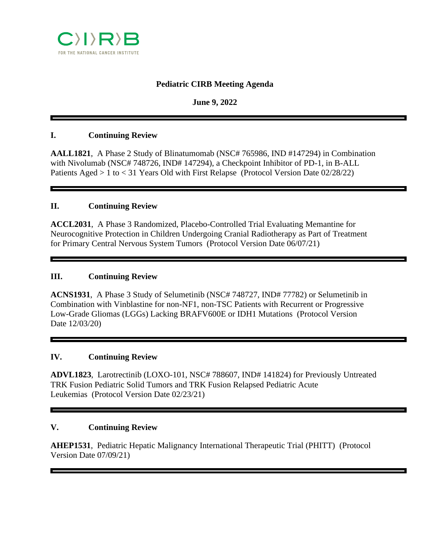

# **Pediatric CIRB Meeting Agenda**

**June 9, 2022**

#### **I. Continuing Review**

**AALL1821**, A Phase 2 Study of Blinatumomab (NSC# 765986, IND #147294) in Combination with Nivolumab (NSC# 748726, IND# 147294), a Checkpoint Inhibitor of PD-1, in B-ALL Patients Aged > 1 to < 31 Years Old with First Relapse (Protocol Version Date 02/28/22)

### **II. Continuing Review**

**ACCL2031**, A Phase 3 Randomized, Placebo-Controlled Trial Evaluating Memantine for Neurocognitive Protection in Children Undergoing Cranial Radiotherapy as Part of Treatment for Primary Central Nervous System Tumors (Protocol Version Date 06/07/21)

#### **III. Continuing Review**

**ACNS1931**, A Phase 3 Study of Selumetinib (NSC# 748727, IND# 77782) or Selumetinib in Combination with Vinblastine for non-NF1, non-TSC Patients with Recurrent or Progressive Low-Grade Gliomas (LGGs) Lacking BRAFV600E or IDH1 Mutations (Protocol Version Date 12/03/20)

#### **IV. Continuing Review**

**ADVL1823**, Larotrectinib (LOXO-101, NSC# 788607, IND# 141824) for Previously Untreated TRK Fusion Pediatric Solid Tumors and TRK Fusion Relapsed Pediatric Acute Leukemias (Protocol Version Date 02/23/21)

#### **V. Continuing Review**

**AHEP1531**, Pediatric Hepatic Malignancy International Therapeutic Trial (PHITT) (Protocol Version Date 07/09/21)